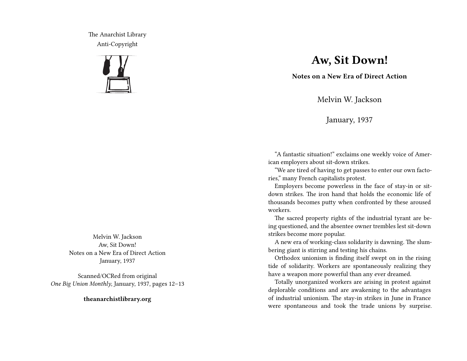The Anarchist Library Anti-Copyright



Melvin W. Jackson Aw, Sit Down! Notes on a New Era of Direct Action January, 1937

Scanned/OCRed from original *One Big Union Monthly*, January, 1937, pages 12–13

**theanarchistlibrary.org**

## **Aw, Sit Down!**

**Notes on a New Era of Direct Action**

Melvin W. Jackson

January, 1937

"A fantastic situation!" exclaims one weekly voice of American employers about sit-down strikes.

"We are tired of having to get passes to enter our own factories," many French capitalists protest.

Employers become powerless in the face of stay-in or sitdown strikes. The iron hand that holds the economic life of thousands becomes putty when confronted by these aroused workers.

The sacred property rights of the industrial tyrant are being questioned, and the absentee owner trembles lest sit-down strikes become more popular.

A new era of working-class solidarity is dawning. The slumbering giant is stirring and testing his chains.

Orthodox unionism is finding itself swept on in the rising tide of solidarity. Workers are spontaneously realizing they have a weapon more powerful than any ever dreamed.

Totally unorganized workers are arising in protest against deplorable conditions and are awakening to the advantages of industrial unionism. The stay-in strikes in June in France were spontaneous and took the trade unions by surprise.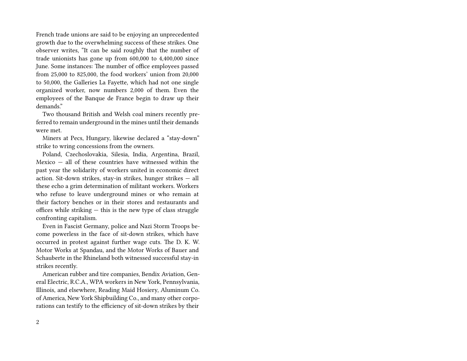French trade unions are said to be enjoying an unprecedented growth due to the overwhelming success of these strikes. One observer writes, "It can be said roughly that the number of trade unionists has gone up from 600,000 to 4,400,000 since June. Some instances: The number of office employees passed from 25,000 to 825,000, the food workers' union from 20,000 to 50,000, the Galleries La Fayette, which had not one single organized worker, now numbers 2,000 of them. Even the employees of the Banque de France begin to draw up their demands."

Two thousand British and Welsh coal miners recently preferred to remain underground in the mines until their demands were met.

Miners at Pecs, Hungary, likewise declared a "stay-down" strike to wring concessions from the owners.

Poland, Czechoslovakia, Silesia, India, Argentina, Brazil, Mexico  $-$  all of these countries have witnessed within the past year the solidarity of workers united in economic direct action. Sit-down strikes, stay-in strikes, hunger strikes — all these echo a grim determination of militant workers. Workers who refuse to leave underground mines or who remain at their factory benches or in their stores and restaurants and offices while striking — this is the new type of class struggle confronting capitalism.

Even in Fascist Germany, police and Nazi Storm Troops become powerless in the face of sit-down strikes, which have occurred in protest against further wage cuts. The D. K. W. Motor Works at Spandau, and the Motor Works of Bauer and Schauberte in the Rhineland both witnessed successful stay-in strikes recently.

American rubber and tire companies, Bendix Aviation, General Electric, R.C.A., WPA workers in New York, Pennsylvania, Illinois, and elsewhere, Reading Maid Hosiery, Aluminum Co. of America, New York Shipbuilding Co., and many other corporations can testify to the efficiency of sit-down strikes by their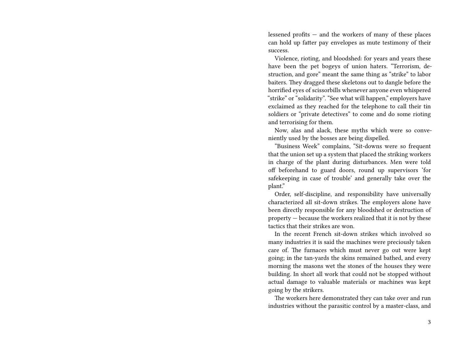lessened profits — and the workers of many of these places can hold up fatter pay envelopes as mute testimony of their success.

Violence, rioting, and bloodshed: for years and years these have been the pet bogeys of union haters. "Terrorism, destruction, and gore" meant the same thing as "strike" to labor baiters. They dragged these skeletons out to dangle before the horrified eyes of scissorbills whenever anyone even whispered "strike" or "solidarity". "See what will happen," employers have exclaimed as they reached for the telephone to call their tin soldiers or "private detectives" to come and do some rioting and terrorising for them.

Now, alas and alack, these myths which were so conveniently used by the bosses are being dispelled.

"Business Week" complains, "Sit-downs were so frequent that the union set up a system that placed the striking workers in charge of the plant during disturbances. Men were told off beforehand to guard doors, round up supervisors 'for safekeeping in case of trouble' and generally take over the plant."

Order, self-discipline, and responsibility have universally characterized all sit-down strikes. The employers alone have been directly responsible for any bloodshed or destruction of property — because the workers realized that it is not by these tactics that their strikes are won.

In the recent French sit-down strikes which involved so many industries it is said the machines were preciously taken care of. The furnaces which must never go out were kept going; in the tan-yards the skins remained bathed, and every morning the masons wet the stones of the houses they were building. In short all work that could not be stopped without actual damage to valuable materials or machines was kept going by the strikers.

The workers here demonstrated they can take over and run industries without the parasitic control by a master-class, and